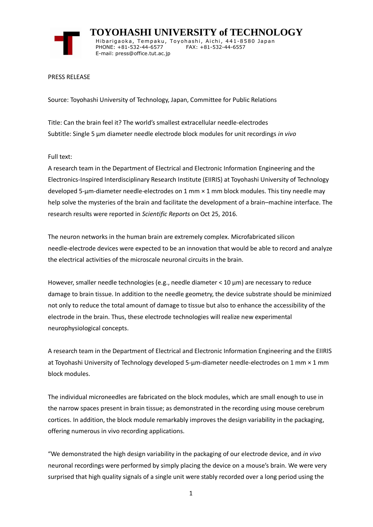

 **TOYOHASHI UNIVERSITY of TECHNOLOGY** Hibarigaoka, Tempaku, Toyohashi, Aichi, 441-8580 Japan PHONE: +81-532-44-6577 FAX: +81-532-44-6557 E-mail: press@office.tut.ac.jp

## PRESS RELEASE

Source: Toyohashi University of Technology, Japan, Committee for Public Relations

Title: Can the brain feel it? The world's smallest extracellular needle-electrodes Subtitle: Single 5 μm diameter needle electrode block modules for unit recordings *in vivo*

Full text:

A research team in the Department of Electrical and Electronic Information Engineering and the Electronics-Inspired Interdisciplinary Research Institute (EIIRIS) at Toyohashi University of Technology developed 5-μm-diameter needle-electrodes on 1 mm × 1 mm block modules. This tiny needle may help solve the mysteries of the brain and facilitate the development of a brain–machine interface. The research results were reported in *Scientific Reports* on Oct 25, 2016.

The neuron networks in the human brain are extremely complex. Microfabricated silicon needle-electrode devices were expected to be an innovation that would be able to record and analyze the electrical activities of the microscale neuronal circuits in the brain.

However, smaller needle technologies (e.g., needle diameter < 10 µm) are necessary to reduce damage to brain tissue. In addition to the needle geometry, the device substrate should be minimized not only to reduce the total amount of damage to tissue but also to enhance the accessibility of the electrode in the brain. Thus, these electrode technologies will realize new experimental neurophysiological concepts.

A research team in the Department of Electrical and Electronic Information Engineering and the EIIRIS at Toyohashi University of Technology developed 5-μm-diameter needle-electrodes on 1 mm × 1 mm block modules.

The individual microneedles are fabricated on the block modules, which are small enough to use in the narrow spaces present in brain tissue; as demonstrated in the recording using mouse cerebrum cortices. In addition, the block module remarkably improves the design variability in the packaging, offering numerous in vivo recording applications.

"We demonstrated the high design variability in the packaging of our electrode device, and *in vivo* neuronal recordings were performed by simply placing the device on a mouse's brain. We were very surprised that high quality signals of a single unit were stably recorded over a long period using the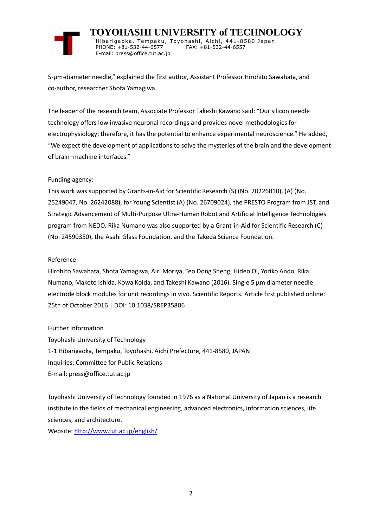

 **TOYOHASHI UNIVERSITY of TECHNOLOGY** Hibarigaoka, Tempaku, Toyohashi, Aichi, 441-8580 Japan PHONE: +81-532-44-6577 FAX: +81-532-44-6557 E-mail: press@office.tut.ac.jp

5-μm-diameter needle," explained the first author, Assistant Professor Hirohito Sawahata, and co-author, researcher Shota Yamagiwa.

The leader of the research team, Associate Professor Takeshi Kawano said: "Our silicon needle technology offers low invasive neuronal recordings and provides novel methodologies for electrophysiology; therefore, it has the potential to enhance experimental neuroscience." He added, "We expect the development of applications to solve the mysteries of the brain and the development of brain–machine interfaces."

## Funding agency:

This work was supported by Grants-in-Aid for Scientific Research (S) (No. 20226010), (A) (No. 25249047, No. 26242088), for Young Scientist (A) (No. 26709024), the PRESTO Program from JST, and Strategic Advancement of Multi-Purpose Ultra-Human Robot and Artificial Intelligence Technologies program from NEDO. Rika Numano was also supported by a Grant-in-Aid for Scientific Research (C) (No. 24590350), the Asahi Glass Foundation, and the Takeda Science Foundation.

## Reference:

Hirohito Sawahata, Shota Yamagiwa, Airi Moriya, Teo Dong Sheng, Hideo Oi, Yoriko Ando, Rika Numano, Makoto Ishida, Kowa Koida, and Takeshi Kawano (2016). Single 5 μm diameter needle electrode block modules for unit recordings in vivo. Scientific Reports. Article first published online: 25th of October 2016 | DOI: 10.1038/SREP35806

Further information

Toyohashi University of Technology 1-1 Hibarigaoka, Tempaku, Toyohashi, Aichi Prefecture, 441-8580, JAPAN Inquiries: Committee for Public Relations E-mail: press@office.tut.ac.jp

Toyohashi University of Technology founded in 1976 as a National University of Japan is a research institute in the fields of mechanical engineering, advanced electronics, information sciences, life sciences, and architecture.

Website[: http://www.tut.ac.jp/english/](https://www.tut.ac.jp/english/)